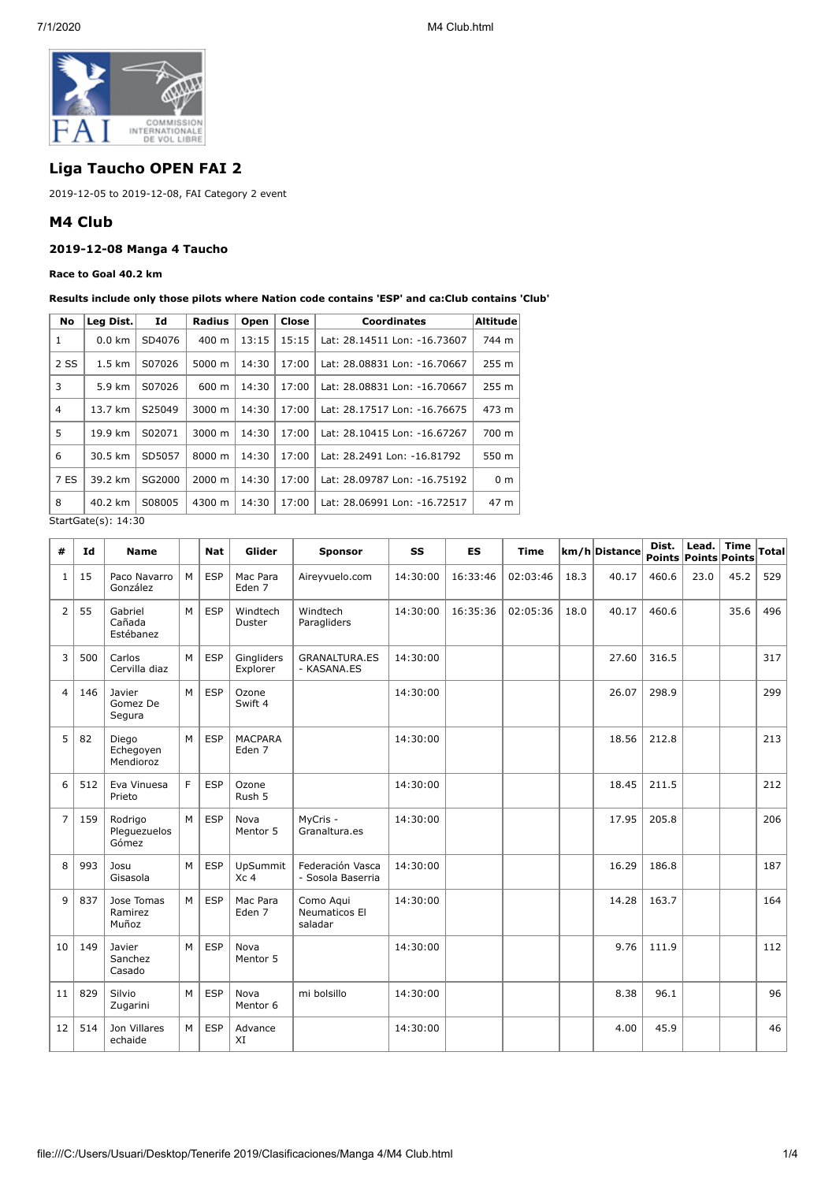

# **Liga Taucho OPEN FAI 2**

2019-12-05 to 2019-12-08, FAI Category 2 event

### **M4 Club**

### **2019-12-08 Manga 4 Taucho**

#### **Race to Goal 40.2 km**

#### **Results include only those pilots where Nation code contains 'ESP' and ca:Club contains 'Club'**

| No                    | Leg Dist.        | Id     | <b>Radius</b>      | Open  | Close | <b>Coordinates</b>           | <b>Altitude</b>  |  |  |
|-----------------------|------------------|--------|--------------------|-------|-------|------------------------------|------------------|--|--|
| 1                     | $0.0$ km         | SD4076 | $400 \text{ m}$    | 13:15 | 15:15 | Lat: 28.14511 Lon: -16.73607 | 744 m            |  |  |
| 2 SS                  | $1.5 \text{ km}$ | S07026 | 5000 m             | 14:30 | 17:00 | Lat: 28.08831 Lon: -16.70667 | 255 m            |  |  |
| 3                     | 5.9 km           | S07026 | 600 m              | 14:30 | 17:00 | Lat: 28.08831 Lon: -16.70667 | 255 <sub>m</sub> |  |  |
| 4                     | 13.7 km          | S25049 | $3000 \; \text{m}$ | 14:30 | 17:00 | Lat: 28.17517 Lon: -16.76675 | 473 m            |  |  |
| 5                     | 19.9 km          | S02071 | 3000 m             | 14:30 | 17:00 | Lat: 28.10415 Lon: -16.67267 | 700 m            |  |  |
| 6                     | 30.5 km          | SD5057 | 8000 m             | 14:30 | 17:00 | Lat: 28.2491 Lon: -16.81792  | 550 m            |  |  |
| 7 ES                  | 39.2 km          | SG2000 | 2000 m             | 14:30 | 17:00 | Lat: 28.09787 Lon: -16.75192 | 0 <sub>m</sub>   |  |  |
| 8                     | 40.2 km          | S08005 | 4300 m             | 14:30 | 17:00 | Lat: 28.06991 Lon: -16.72517 | 47 m             |  |  |
| $C+2+C2+2(c)$ , 14,20 |                  |        |                    |       |       |                              |                  |  |  |

StartGate(s): 14:30

| #              | Id  | <b>Name</b>                      |    | <b>Nat</b> | Glider                        | <b>Sponsor</b>                        | SS       | <b>ES</b> | <b>Time</b> |      | km/h Distance | Dist. | Lead. $ $ Time<br>Points Points Points |      | <b>Total</b> |
|----------------|-----|----------------------------------|----|------------|-------------------------------|---------------------------------------|----------|-----------|-------------|------|---------------|-------|----------------------------------------|------|--------------|
| $\mathbf{1}$   | 15  | Paco Navarro<br>González         | M  | <b>ESP</b> | Mac Para<br>Eden <sub>7</sub> | Aireyvuelo.com                        | 14:30:00 | 16:33:46  | 02:03:46    | 18.3 | 40.17         | 460.6 | 23.0                                   | 45.2 | 529          |
| $\overline{2}$ | 55  | Gabriel<br>Cañada<br>Estébanez   | M  | <b>ESP</b> | Windtech<br>Duster            | Windtech<br>Paragliders               | 14:30:00 | 16:35:36  | 02:05:36    | 18.0 | 40.17         | 460.6 |                                        | 35.6 | 496          |
| 3              | 500 | Carlos<br>Cervilla diaz          | M  | <b>ESP</b> | Gingliders<br>Explorer        | <b>GRANALTURA.ES</b><br>- KASANA.ES   | 14:30:00 |           |             |      | 27.60         | 316.5 |                                        |      | 317          |
| $\overline{4}$ | 146 | Javier<br>Gomez De<br>Segura     | M  | <b>ESP</b> | Ozone<br>Swift 4              |                                       | 14:30:00 |           |             |      | 26.07         | 298.9 |                                        |      | 299          |
| 5              | 82  | Diego<br>Echegoyen<br>Mendioroz  | M  | <b>ESP</b> | <b>MACPARA</b><br>Eden 7      |                                       | 14:30:00 |           |             |      | 18.56         | 212.8 |                                        |      | 213          |
| 6              | 512 | Eva Vinuesa<br>Prieto            | F. | <b>ESP</b> | Ozone<br>Rush 5               |                                       | 14:30:00 |           |             |      | 18.45         | 211.5 |                                        |      | 212          |
| $\overline{7}$ | 159 | Rodrigo<br>Pleguezuelos<br>Gómez | M  | <b>ESP</b> | Nova<br>Mentor 5              | MvCris -<br>Granaltura.es             | 14:30:00 |           |             |      | 17.95         | 205.8 |                                        |      | 206          |
| 8              | 993 | Josu<br>Gisasola                 | M  | <b>ESP</b> | UpSummit<br>Xc <sub>4</sub>   | Federación Vasca<br>- Sosola Baserria | 14:30:00 |           |             |      | 16.29         | 186.8 |                                        |      | 187          |
| 9              | 837 | Jose Tomas<br>Ramirez<br>Muñoz   | M  | <b>ESP</b> | Mac Para<br>Eden <sub>7</sub> | Como Agui<br>Neumaticos El<br>saladar | 14:30:00 |           |             |      | 14.28         | 163.7 |                                        |      | 164          |
| 10             | 149 | Javier<br>Sanchez<br>Casado      | M  | <b>ESP</b> | Nova<br>Mentor 5              |                                       | 14:30:00 |           |             |      | 9.76          | 111.9 |                                        |      | 112          |
| 11             | 829 | Silvio<br>Zugarini               | M  | <b>ESP</b> | Nova<br>Mentor 6              | mi bolsillo                           | 14:30:00 |           |             |      | 8.38          | 96.1  |                                        |      | 96           |
| 12             | 514 | Jon Villares<br>echaide          | M  | <b>ESP</b> | Advance<br>XI                 |                                       | 14:30:00 |           |             |      | 4.00          | 45.9  |                                        |      | 46           |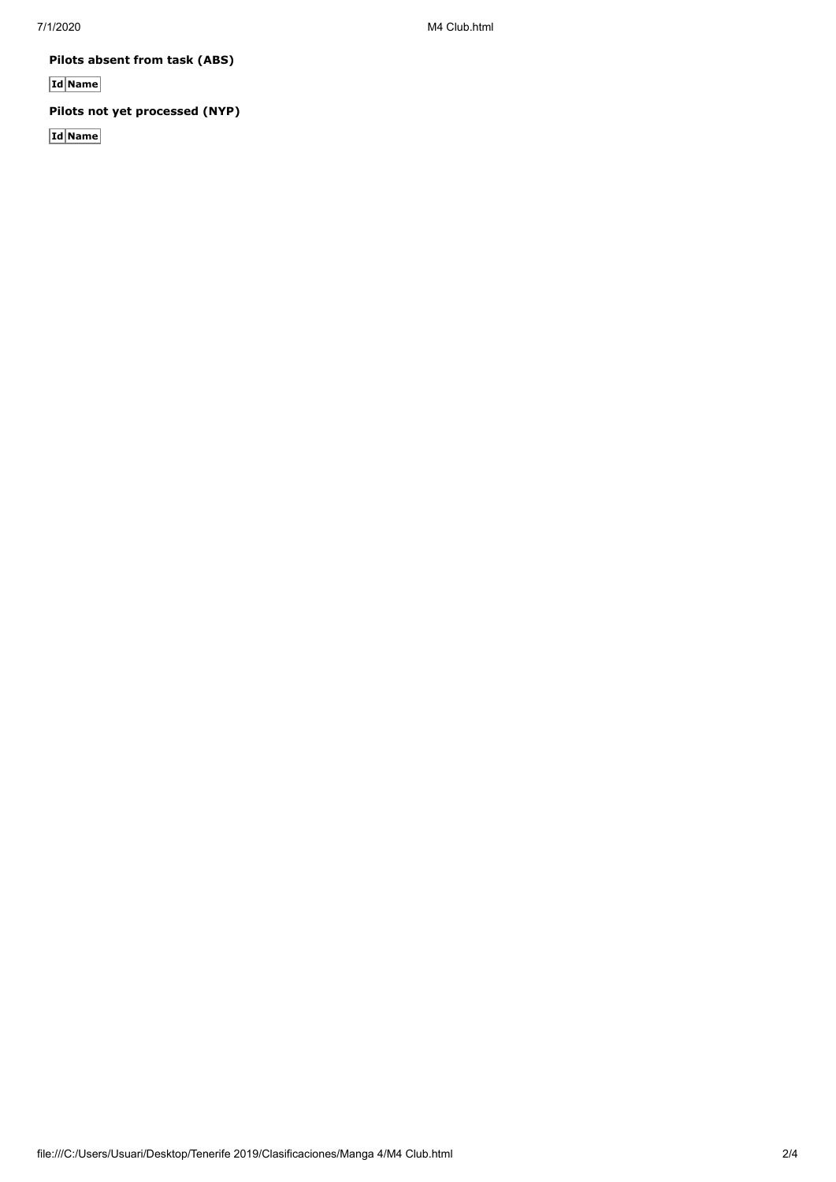7/1/2020 M4 Club.html

**Pilots absent from task (ABS)**

**Id Name**

## **Pilots not yet processed (NYP)**

**Id Name**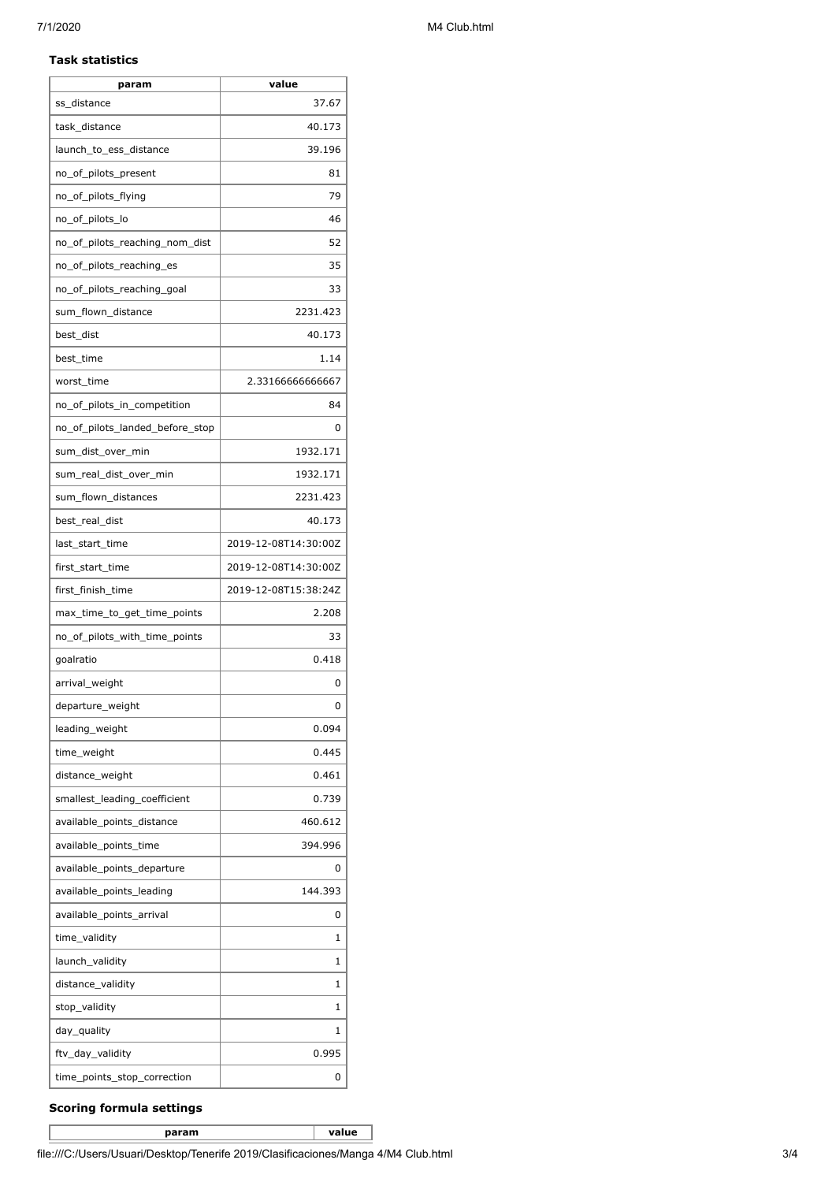#### **Task statistics**

| param                           | value                |
|---------------------------------|----------------------|
| ss_distance                     | 37.67                |
| task_distance                   | 40.173               |
| launch_to_ess_distance          | 39.196               |
| no_of_pilots_present            | 81                   |
| no_of_pilots_flying             | 79                   |
| no_of_pilots_lo                 | 46                   |
| no of pilots reaching nom dist  | 52                   |
| no_of_pilots_reaching_es        | 35                   |
| no_of_pilots_reaching_goal      | 33                   |
| sum_flown_distance              | 2231.423             |
| best_dist                       | 40.173               |
| best_time                       | 1.14                 |
| worst time                      | 2.33166666666667     |
| no_of_pilots_in_competition     | 84                   |
| no_of_pilots_landed_before_stop | 0                    |
| sum_dist_over_min               | 1932.171             |
| sum real dist over min          | 1932.171             |
| sum_flown_distances             | 2231.423             |
| best_real_dist                  | 40.173               |
| last_start_time                 | 2019-12-08T14:30:00Z |
| first_start_time                | 2019-12-08T14:30:00Z |
| first_finish_time               | 2019-12-08T15:38:24Z |
| max_time_to_get_time_points     | 2.208                |
| no of pilots with time points   | 33                   |
| goalratio                       | 0.418                |
| arrival_weight                  | 0                    |
| departure_weight                | 0                    |
| leading_weight                  | 0.094                |
| time_weight                     | 0.445                |
| distance_weight                 | 0.461                |
| smallest_leading_coefficient    | 0.739                |
| available_points_distance       | 460.612              |
| available_points_time           | 394.996              |
| available_points_departure      | 0                    |
| available_points_leading        | 144.393              |
| available_points_arrival        | 0                    |
| time_validity                   | 1                    |
| launch_validity                 | 1                    |
| distance_validity               | 1                    |
| stop_validity                   | 1                    |
| day_quality                     | 1                    |
| ftv_day_validity                | 0.995                |
| time_points_stop_correction     | 0                    |

### **Scoring formula settings**

**param value**